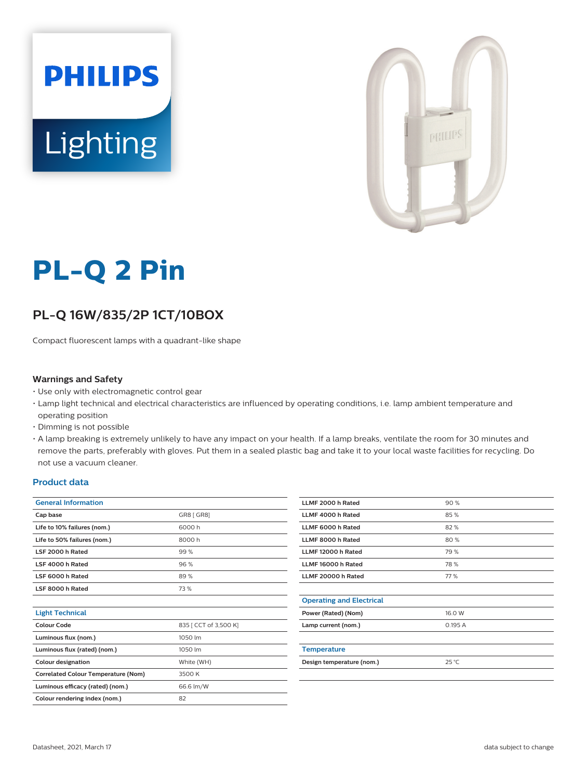



# **PL-Q 2 Pin**

# **PL-Q 16W/835/2P 1CT/10BOX**

Compact fluorescent lamps with a quadrant-like shape

#### **Warnings and Safety**

- Use only with electromagnetic control gear
- Lamp light technical and electrical characteristics are influenced by operating conditions, i.e. lamp ambient temperature and operating position
- Dimming is not possible
- A lamp breaking is extremely unlikely to have any impact on your health. If a lamp breaks, ventilate the room for 30 minutes and remove the parts, preferably with gloves. Put them in a sealed plastic bag and take it to your local waste facilities for recycling. Do not use a vacuum cleaner.

#### **Product data**

| <b>General Information</b>                 |                       |  |  |  |
|--------------------------------------------|-----------------------|--|--|--|
| Cap base                                   | GR8 [ GR8]            |  |  |  |
| Life to 10% failures (nom.)                | 6000 h                |  |  |  |
| Life to 50% failures (nom.)                | 8000h                 |  |  |  |
| LSF 2000 h Rated                           | 99%                   |  |  |  |
| LSF 4000 h Rated                           | 96%                   |  |  |  |
| LSF 6000 h Rated                           | 89%                   |  |  |  |
| LSF 8000 h Rated                           | 73%                   |  |  |  |
|                                            |                       |  |  |  |
| <b>Light Technical</b>                     |                       |  |  |  |
| Colour Code                                | 835 [ CCT of 3,500 K] |  |  |  |
| Luminous flux (nom.)                       | 1050 lm               |  |  |  |
| Luminous flux (rated) (nom.)               | 1050 lm               |  |  |  |
| <b>Colour designation</b>                  | White (WH)            |  |  |  |
| <b>Correlated Colour Temperature (Nom)</b> | 3500 K                |  |  |  |
| Luminous efficacy (rated) (nom.)           | 66.6 lm/W             |  |  |  |
| Colour rendering index (nom.)              | 82                    |  |  |  |
|                                            |                       |  |  |  |

| LLMF 2000 h Rated               | 90%    |
|---------------------------------|--------|
| LLMF 4000 h Rated               | 85%    |
| LLMF 6000 h Rated               | 82%    |
| LLMF 8000 h Rated               | 80%    |
| LLMF 12000 h Rated              | 79 %   |
| LLMF 16000 h Rated              | 78%    |
| LLMF 20000 h Rated              | 77%    |
|                                 |        |
| <b>Operating and Electrical</b> |        |
| Power (Rated) (Nom)             | 16.0 W |
| Lamp current (nom.)             | 0.195A |
|                                 |        |
| <b>Temperature</b>              |        |
| Design temperature (nom.)       | 25 °C  |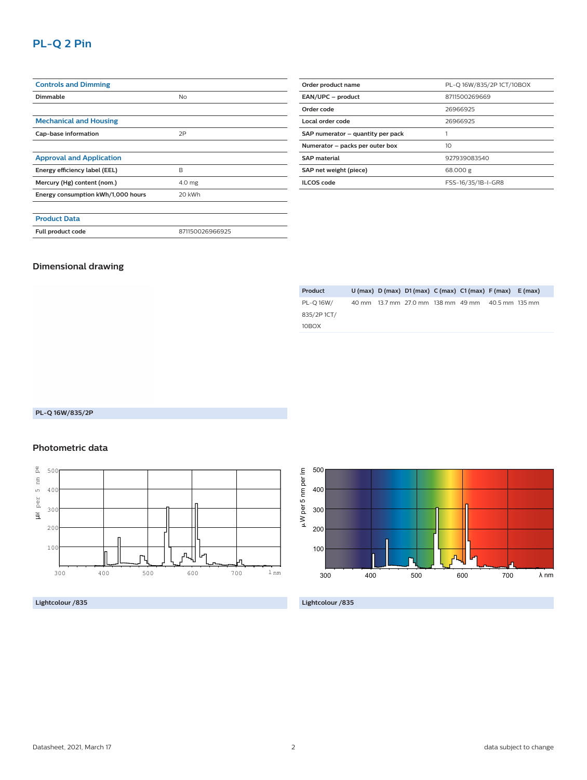## **PL-Q 2 Pin**

| <b>Controls and Dimming</b>        |                 |  |
|------------------------------------|-----------------|--|
| <b>Dimmable</b>                    | No              |  |
|                                    |                 |  |
| <b>Mechanical and Housing</b>      |                 |  |
| Cap-base information               | 2P              |  |
|                                    |                 |  |
| <b>Approval and Application</b>    |                 |  |
| Energy efficiency label (EEL)      | B               |  |
| Mercury (Hg) content (nom.)        | 4.0 mg          |  |
| Energy consumption kWh/1,000 hours | 20 kWh          |  |
|                                    |                 |  |
| <b>Product Data</b>                |                 |  |
| Full product code                  | 871150026966925 |  |

| Order product name                | PL-Q 16W/835/2P 1CT/10BOX |  |  |  |
|-----------------------------------|---------------------------|--|--|--|
| EAN/UPC - product                 | 8711500269669             |  |  |  |
| Order code<br>26966925            |                           |  |  |  |
| Local order code<br>26966925      |                           |  |  |  |
| SAP numerator - quantity per pack |                           |  |  |  |
| Numerator - packs per outer box   | 10                        |  |  |  |
| <b>SAP</b> material               | 927939083540              |  |  |  |
| SAP net weight (piece)            | 68.000 g                  |  |  |  |
| <b>ILCOS</b> code                 | FSS-16/35/1B-I-GR8        |  |  |  |

#### **Dimensional drawing**

| Product     |  | $U$ (max) $D$ (max) $D1$ (max) $C$ (max) $C1$ (max) $F$ (max) $E$ (max) |  |  |
|-------------|--|-------------------------------------------------------------------------|--|--|
| PL-O 16W/   |  | 40 mm 13.7 mm 27.0 mm 138 mm 49 mm 40.5 mm 135 mm                       |  |  |
| 835/2P 1CT/ |  |                                                                         |  |  |
| 10BOX       |  |                                                                         |  |  |

#### **PL-Q 16W/835/2P**

#### **Photometric data**



#### **Lightcolour /835**